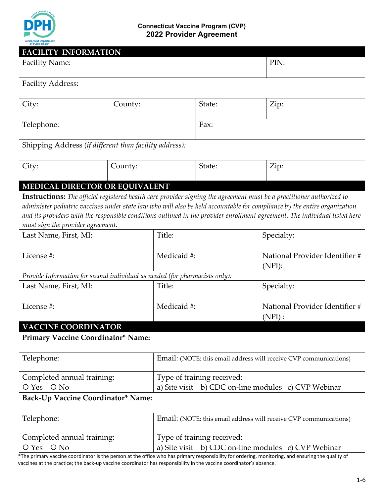

#### **Connecticut Vaccine Program (CVP) 2022 Provider [Agreement](file:///%5C%5Cexec%5Cdfs%5Cdph-users1%5CAppData%5CLocal%5CMicrosoft%5CWindows%5CTemporary%20Internet%20Files%5CContent.Outlook%5CAppData%5CLocal%5CMicrosoft%5CWindows%5CTemporary%20Internet%20Files%5CContent.Outlook%5CAppData%5CLocal%5CMicrosoft%5CWindows%5CTemporary%20Internet%20Files%5CContent.Outlook%5CAppData%5CLocal%5CMicrosoft%5CWindows%5CTemporary%20Internet%20Files%5CContent.Outlook%5CAppData%5CLocal%5CMicrosoft%5CWindows%5CTemporary%20Internet%20Files%5CContent.Outlook%5CAppData%5CLocal%5CMicrosoft%5CWindows%5CTemporary%20Internet%20Files%5CContent.Outlook%5CAppData%5CLocal%5CMicrosoft%5CWindows%5CTemporary%20Internet%20Files%5CContent.Outlook%5CTO6Q04AG%5CDPH.IMMUNIZATIONS@ct.gov)**

| <b>FACILITY INFORMATION</b>                                                                                                                                                                                                                                                                                                                                                                                            |                            |                                                                   |                                             |  |  |  |
|------------------------------------------------------------------------------------------------------------------------------------------------------------------------------------------------------------------------------------------------------------------------------------------------------------------------------------------------------------------------------------------------------------------------|----------------------------|-------------------------------------------------------------------|---------------------------------------------|--|--|--|
| <b>Facility Name:</b>                                                                                                                                                                                                                                                                                                                                                                                                  | PIN:                       |                                                                   |                                             |  |  |  |
| <b>Facility Address:</b>                                                                                                                                                                                                                                                                                                                                                                                               |                            |                                                                   |                                             |  |  |  |
| City:                                                                                                                                                                                                                                                                                                                                                                                                                  | County:                    | State:                                                            | Zip:                                        |  |  |  |
| Telephone:                                                                                                                                                                                                                                                                                                                                                                                                             |                            | Fax:                                                              |                                             |  |  |  |
| Shipping Address (if different than facility address):                                                                                                                                                                                                                                                                                                                                                                 |                            |                                                                   |                                             |  |  |  |
| City:                                                                                                                                                                                                                                                                                                                                                                                                                  | County:                    | State:                                                            | Zip:                                        |  |  |  |
| MEDICAL DIRECTOR OR EQUIVALENT                                                                                                                                                                                                                                                                                                                                                                                         |                            |                                                                   |                                             |  |  |  |
| Instructions: The official registered health care provider signing the agreement must be a practitioner authorized to<br>administer pediatric vaccines under state law who will also be held accountable for compliance by the entire organization<br>and its providers with the responsible conditions outlined in the provider enrollment agreement. The individual listed here<br>must sign the provider agreement. |                            |                                                                   |                                             |  |  |  |
| Last Name, First, MI:                                                                                                                                                                                                                                                                                                                                                                                                  | Title:                     |                                                                   | Specialty:                                  |  |  |  |
| License #:                                                                                                                                                                                                                                                                                                                                                                                                             | Medicaid #:                |                                                                   | National Provider Identifier #<br>$(NPI)$ : |  |  |  |
| Provide Information for second individual as needed (for pharmacists only):                                                                                                                                                                                                                                                                                                                                            |                            |                                                                   |                                             |  |  |  |
| Last Name, First, MI:                                                                                                                                                                                                                                                                                                                                                                                                  | Title:                     |                                                                   | Specialty:                                  |  |  |  |
| License #:                                                                                                                                                                                                                                                                                                                                                                                                             | Medicaid #:                |                                                                   | National Provider Identifier #<br>(NPI):    |  |  |  |
| <b>VACCINE COORDINATOR</b>                                                                                                                                                                                                                                                                                                                                                                                             |                            |                                                                   |                                             |  |  |  |
| Primary Vaccine Coordinator* Name:                                                                                                                                                                                                                                                                                                                                                                                     |                            |                                                                   |                                             |  |  |  |
| Telephone:                                                                                                                                                                                                                                                                                                                                                                                                             |                            | Email: (NOTE: this email address will receive CVP communications) |                                             |  |  |  |
| Completed annual training:                                                                                                                                                                                                                                                                                                                                                                                             |                            | Type of training received:                                        |                                             |  |  |  |
| O Yes O No                                                                                                                                                                                                                                                                                                                                                                                                             | a) Site visit              | b) CDC on-line modules c) CVP Webinar                             |                                             |  |  |  |
| Back-Up Vaccine Coordinator* Name:                                                                                                                                                                                                                                                                                                                                                                                     |                            |                                                                   |                                             |  |  |  |
| Telephone:                                                                                                                                                                                                                                                                                                                                                                                                             |                            | Email: (NOTE: this email address will receive CVP communications) |                                             |  |  |  |
| Completed annual training:                                                                                                                                                                                                                                                                                                                                                                                             | Type of training received: |                                                                   |                                             |  |  |  |
| O Yes O No<br>a) Site visit                                                                                                                                                                                                                                                                                                                                                                                            |                            |                                                                   | b) CDC on-line modules c) CVP Webinar       |  |  |  |

\*The primary vaccine coordinator is the person at the office who has primary responsibility for ordering, monitoring, and ensuring the quality of vaccines at the practice; the back-up vaccine coordinator has responsibility in the vaccine coordinator's absence.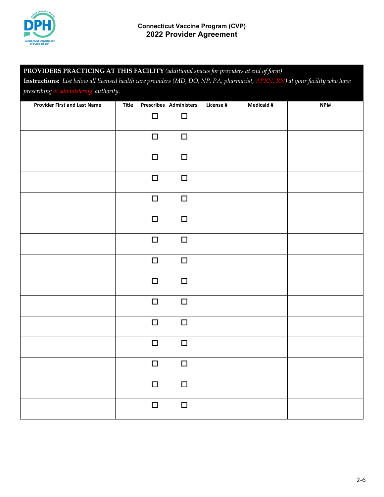

# **PROVIDERS PRACTICING AT THIS FACILITY** *(additional spaces for providers at end of form)*

**Instructions:** *List below all licensed health care providers (MD, DO, NP, PA, pharmacist, APRN, RN) at your facility who have prescribing or administering authority.*

| <b>Provider First and Last Name</b> | $\overline{T}$ itle |        | Prescribes Administers | License # | <b>Medicaid #</b> | NPI# |
|-------------------------------------|---------------------|--------|------------------------|-----------|-------------------|------|
|                                     |                     | $\Box$ | $\Box$                 |           |                   |      |
|                                     |                     | $\Box$ | $\Box$                 |           |                   |      |
|                                     |                     | $\Box$ | $\Box$                 |           |                   |      |
|                                     |                     | $\Box$ | $\Box$                 |           |                   |      |
|                                     |                     | $\Box$ | $\Box$                 |           |                   |      |
|                                     |                     | $\Box$ | $\Box$                 |           |                   |      |
|                                     |                     | $\Box$ | $\Box$                 |           |                   |      |
|                                     |                     | $\Box$ | $\Box$                 |           |                   |      |
|                                     |                     | $\Box$ | $\Box$                 |           |                   |      |
|                                     |                     | $\Box$ | $\Box$                 |           |                   |      |
|                                     |                     | $\Box$ | $\Box$                 |           |                   |      |
|                                     |                     | $\Box$ | $\Box$                 |           |                   |      |
|                                     |                     | $\Box$ | $\Box$                 |           |                   |      |
|                                     |                     | $\Box$ | $\Box$                 |           |                   |      |
|                                     |                     | $\Box$ | $\Box$                 |           |                   |      |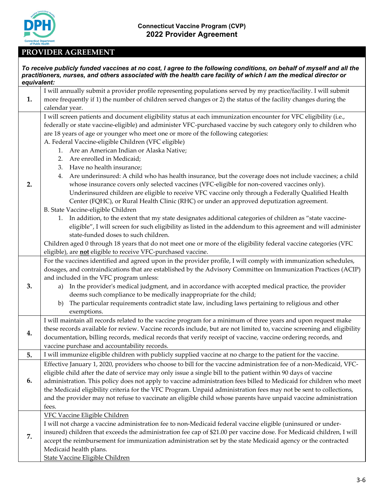

## **PROVIDER AGREEMENT**

| equivalent: | To receive publicly funded vaccines at no cost, I agree to the following conditions, on behalf of myself and all the<br>practitioners, nurses, and others associated with the health care facility of which I am the medical director or                                                                                                                                                                                                                                                                                                                                                                                                                                                                                                                                                                                                                                                                                                                                                                                                                                                                                                                                                                                                                                                                                                                                                                                  |
|-------------|---------------------------------------------------------------------------------------------------------------------------------------------------------------------------------------------------------------------------------------------------------------------------------------------------------------------------------------------------------------------------------------------------------------------------------------------------------------------------------------------------------------------------------------------------------------------------------------------------------------------------------------------------------------------------------------------------------------------------------------------------------------------------------------------------------------------------------------------------------------------------------------------------------------------------------------------------------------------------------------------------------------------------------------------------------------------------------------------------------------------------------------------------------------------------------------------------------------------------------------------------------------------------------------------------------------------------------------------------------------------------------------------------------------------------|
| 1.          | I will annually submit a provider profile representing populations served by my practice/facility. I will submit<br>more frequently if 1) the number of children served changes or 2) the status of the facility changes during the<br>calendar year.                                                                                                                                                                                                                                                                                                                                                                                                                                                                                                                                                                                                                                                                                                                                                                                                                                                                                                                                                                                                                                                                                                                                                                     |
| 2.          | I will screen patients and document eligibility status at each immunization encounter for VFC eligibility (i.e.,<br>federally or state vaccine-eligible) and administer VFC-purchased vaccine by such category only to children who<br>are 18 years of age or younger who meet one or more of the following categories:<br>A. Federal Vaccine-eligible Children (VFC eligible)<br>1. Are an American Indian or Alaska Native;<br>Are enrolled in Medicaid;<br>2.<br>3. Have no health insurance;<br>Are underinsured: A child who has health insurance, but the coverage does not include vaccines; a child<br>4.<br>whose insurance covers only selected vaccines (VFC-eligible for non-covered vaccines only).<br>Underinsured children are eligible to receive VFC vaccine only through a Federally Qualified Health<br>Center (FQHC), or Rural Health Clinic (RHC) or under an approved deputization agreement.<br>B. State Vaccine-eligible Children<br>In addition, to the extent that my state designates additional categories of children as "state vaccine-<br>1.<br>eligible", I will screen for such eligibility as listed in the addendum to this agreement and will administer<br>state-funded doses to such children.<br>Children aged 0 through 18 years that do not meet one or more of the eligibility federal vaccine categories (VFC<br>eligible), are not eligible to receive VFC-purchased vaccine. |
| 3.          | For the vaccines identified and agreed upon in the provider profile, I will comply with immunization schedules,<br>dosages, and contraindications that are established by the Advisory Committee on Immunization Practices (ACIP)<br>and included in the VFC program unless:<br>In the provider's medical judgment, and in accordance with accepted medical practice, the provider<br>a)<br>deems such compliance to be medically inappropriate for the child;<br>The particular requirements contradict state law, including laws pertaining to religious and other<br>b)<br>exemptions.                                                                                                                                                                                                                                                                                                                                                                                                                                                                                                                                                                                                                                                                                                                                                                                                                                 |
| 4.          | I will maintain all records related to the vaccine program for a minimum of three years and upon request make<br>these records available for review. Vaccine records include, but are not limited to, vaccine screening and eligibility<br>documentation, billing records, medical records that verify receipt of vaccine, vaccine ordering records, and<br>vaccine purchase and accountability records.                                                                                                                                                                                                                                                                                                                                                                                                                                                                                                                                                                                                                                                                                                                                                                                                                                                                                                                                                                                                                  |
| 5.          | I will immunize eligible children with publicly supplied vaccine at no charge to the patient for the vaccine.                                                                                                                                                                                                                                                                                                                                                                                                                                                                                                                                                                                                                                                                                                                                                                                                                                                                                                                                                                                                                                                                                                                                                                                                                                                                                                             |
| 6.          | Effective January 1, 2020, providers who choose to bill for the vaccine administration fee of a non-Medicaid, VFC-<br>eligible child after the date of service may only issue a single bill to the patient within 90 days of vaccine<br>administration. This policy does not apply to vaccine administration fees billed to Medicaid for children who meet<br>the Medicaid eligibility criteria for the VFC Program. Unpaid administration fees may not be sent to collections,<br>and the provider may not refuse to vaccinate an eligible child whose parents have unpaid vaccine administration<br>fees.                                                                                                                                                                                                                                                                                                                                                                                                                                                                                                                                                                                                                                                                                                                                                                                                               |
| 7.          | <b>VFC Vaccine Eligible Children</b><br>I will not charge a vaccine administration fee to non-Medicaid federal vaccine eligible (uninsured or under-<br>insured) children that exceeds the administration fee cap of \$21.00 per vaccine dose. For Medicaid children, I will<br>accept the reimbursement for immunization administration set by the state Medicaid agency or the contracted<br>Medicaid health plans.<br>State Vaccine Eligible Children                                                                                                                                                                                                                                                                                                                                                                                                                                                                                                                                                                                                                                                                                                                                                                                                                                                                                                                                                                  |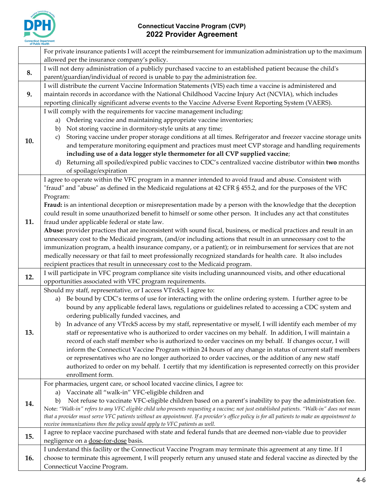

|     | For private insurance patients I will accept the reimbursement for immunization administration up to the maximum<br>allowed per the insurance company's policy.                                                                                                                                                                                                                                                                                                                                                                                                                                                                                                                                                                                                                                                                                                                                                                                                                                                                 |
|-----|---------------------------------------------------------------------------------------------------------------------------------------------------------------------------------------------------------------------------------------------------------------------------------------------------------------------------------------------------------------------------------------------------------------------------------------------------------------------------------------------------------------------------------------------------------------------------------------------------------------------------------------------------------------------------------------------------------------------------------------------------------------------------------------------------------------------------------------------------------------------------------------------------------------------------------------------------------------------------------------------------------------------------------|
|     |                                                                                                                                                                                                                                                                                                                                                                                                                                                                                                                                                                                                                                                                                                                                                                                                                                                                                                                                                                                                                                 |
| 8.  | I will not deny administration of a publicly purchased vaccine to an established patient because the child's<br>parent/guardian/individual of record is unable to pay the administration fee.                                                                                                                                                                                                                                                                                                                                                                                                                                                                                                                                                                                                                                                                                                                                                                                                                                   |
| 9.  | I will distribute the current Vaccine Information Statements (VIS) each time a vaccine is administered and<br>maintain records in accordance with the National Childhood Vaccine Injury Act (NCVIA), which includes<br>reporting clinically significant adverse events to the Vaccine Adverse Event Reporting System (VAERS).                                                                                                                                                                                                                                                                                                                                                                                                                                                                                                                                                                                                                                                                                                   |
| 10. | I will comply with the requirements for vaccine management including:<br>Ordering vaccine and maintaining appropriate vaccine inventories;<br>a)<br>Not storing vaccine in dormitory-style units at any time;<br>b)<br>Storing vaccine under proper storage conditions at all times. Refrigerator and freezer vaccine storage units<br>C)<br>and temperature monitoring equipment and practices must meet CVP storage and handling requirements<br>including use of a data logger style thermometer for all CVP supplied vaccine;<br>Returning all spoiled/expired public vaccines to CDC's centralized vaccine distributor within two months<br>d)<br>of spoilage/expiration<br>I agree to operate within the VFC program in a manner intended to avoid fraud and abuse. Consistent with<br>"fraud" and "abuse" as defined in the Medicaid regulations at 42 CFR § 455.2, and for the purposes of the VFC                                                                                                                      |
| 11. | Program:<br>Fraud: is an intentional deception or misrepresentation made by a person with the knowledge that the deception<br>could result in some unauthorized benefit to himself or some other person. It includes any act that constitutes<br>fraud under applicable federal or state law.<br>Abuse: provider practices that are inconsistent with sound fiscal, business, or medical practices and result in an<br>unnecessary cost to the Medicaid program, (and/or including actions that result in an unnecessary cost to the<br>immunization program, a health insurance company, or a patient); or in reimbursement for services that are not<br>medically necessary or that fail to meet professionally recognized standards for health care. It also includes<br>recipient practices that result in unnecessary cost to the Medicaid program.                                                                                                                                                                        |
| 12. | I will participate in VFC program compliance site visits including unannounced visits, and other educational<br>opportunities associated with VFC program requirements.                                                                                                                                                                                                                                                                                                                                                                                                                                                                                                                                                                                                                                                                                                                                                                                                                                                         |
| 13. | Should my staff, representative, or I access VTrckS, I agree to:<br>Be bound by CDC's terms of use for interacting with the online ordering system. I further agree to be<br>a)<br>bound by any applicable federal laws, regulations or guidelines related to accessing a CDC system and<br>ordering publically funded vaccines, and<br>b) In advance of any VTrckS access by my staff, representative or myself, I will identify each member of my<br>staff or representative who is authorized to order vaccines on my behalf. In addition, I will maintain a<br>record of each staff member who is authorized to order vaccines on my behalf. If changes occur, I will<br>inform the Connecticut Vaccine Program within 24 hours of any change in status of current staff members<br>or representatives who are no longer authorized to order vaccines, or the addition of any new staff<br>authorized to order on my behalf. I certify that my identification is represented correctly on this provider<br>enrollment form. |
| 14. | For pharmacies, urgent care, or school located vaccine clinics, I agree to:<br>a) Vaccinate all "walk-in" VFC-eligible children and<br>Not refuse to vaccinate VFC-eligible children based on a parent's inability to pay the administration fee.<br>b)<br>Note: "Walk-in" refers to any VFC eligible child who presents requesting a vaccine; not just established patients. "Walk-in" does not mean<br>that a provider must serve VFC patients without an appointment. If a provider's office policy is for all patients to make an appointment to<br>receive immunizations then the policy would apply to VFC patients as well.                                                                                                                                                                                                                                                                                                                                                                                              |
| 15. | I agree to replace vaccine purchased with state and federal funds that are deemed non-viable due to provider<br>negligence on a dose-for-dose basis.                                                                                                                                                                                                                                                                                                                                                                                                                                                                                                                                                                                                                                                                                                                                                                                                                                                                            |
| 16. | I understand this facility or the Connecticut Vaccine Program may terminate this agreement at any time. If I<br>choose to terminate this agreement, I will properly return any unused state and federal vaccine as directed by the<br>Connecticut Vaccine Program.                                                                                                                                                                                                                                                                                                                                                                                                                                                                                                                                                                                                                                                                                                                                                              |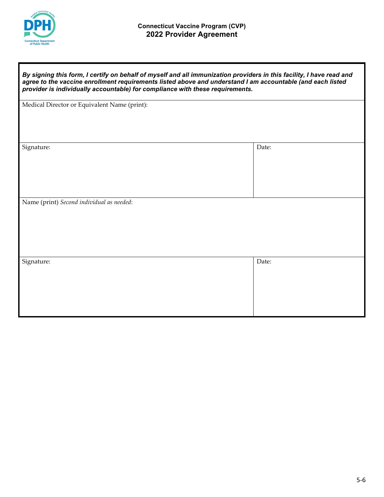

| By signing this form, I certify on behalf of myself and all immunization providers in this facility, I have read and<br>agree to the vaccine enrollment requirements listed above and understand I am accountable (and each listed<br>provider is individually accountable) for compliance with these requirements. |       |  |  |
|---------------------------------------------------------------------------------------------------------------------------------------------------------------------------------------------------------------------------------------------------------------------------------------------------------------------|-------|--|--|
| Medical Director or Equivalent Name (print):                                                                                                                                                                                                                                                                        |       |  |  |
| Signature:                                                                                                                                                                                                                                                                                                          | Date: |  |  |
| Name (print) Second individual as needed:                                                                                                                                                                                                                                                                           |       |  |  |
| Signature:                                                                                                                                                                                                                                                                                                          | Date: |  |  |